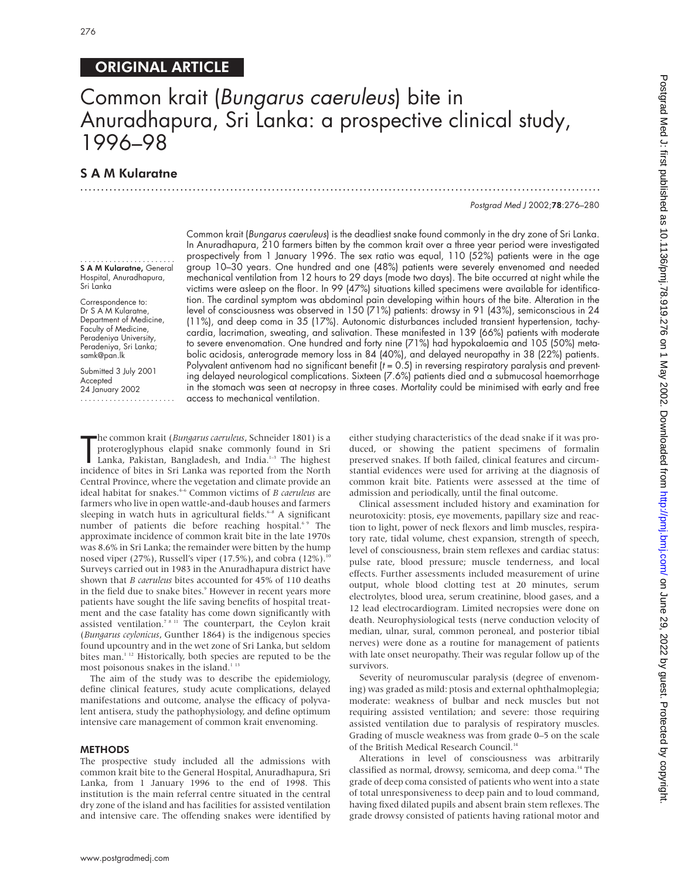# ORIGINAL ARTICLE

# Common krait (Bungarus caeruleus) bite in Anuradhapura, Sri Lanka: a prospective clinical study, 1996–98

.............................................................................................................................

# S A M Kularatne

Postgrad Med J 2002;78:276–280

....................... S A M Kularatne, General Hospital, Anuradhapura, Sri Lanka

Correspondence to: Dr S A M Kularatne, Department of Medicine, Faculty of Medicine, Peradeniya University, Peradeniya, Sri Lanka; samk@pan.lk

Submitted 3 July 2001 Accepted 24 January 2002

.......................

Common krait (Bungarus caeruleus) is the deadliest snake found commonly in the dry zone of Sri Lanka. In Anuradhapura, 210 farmers bitten by the common krait over a three year period were investigated prospectively from 1 January 1996. The sex ratio was equal, 110 (52%) patients were in the age group 10–30 years. One hundred and one (48%) patients were severely envenomed and needed mechanical ventilation from 12 hours to 29 days (mode two days). The bite occurred at night while the victims were asleep on the floor. In 99 (47%) situations killed specimens were available for identification. The cardinal symptom was abdominal pain developing within hours of the bite. Alteration in the level of consciousness was observed in 150 (71%) patients: drowsy in 91 (43%), semiconscious in 24 (11%), and deep coma in 35 (17%). Autonomic disturbances included transient hypertension, tachycardia, lacrimation, sweating, and salivation. These manifested in 139 (66%) patients with moderate to severe envenomation. One hundred and forty nine (71%) had hypokalaemia and 105 (50%) metabolic acidosis, anterograde memory loss in 84 (40%), and delayed neuropathy in 38 (22%) patients. Polyvalent antivenom had no significant benefit  $(t = 0.5)$  in reversing respiratory paralysis and preventing delayed neurological complications. Sixteen (7.6%) patients died and a submucosal haemorrhage in the stomach was seen at necropsy in three cases. Mortality could be minimised with early and free access to mechanical ventilation.

The common krait *(Bungarus caeruleus, Schneider 1801)* is a proteroglyphous elapid snake commonly found in Sri Lanka, Pakistan, Bangladesh, and India.<sup>1-3</sup> The highest incidence of bites in Sri Lanka was reported from the he common krait (*Bungarus caeruleus*, Schneider 1801) is a proteroglyphous elapid snake commonly found in Sri Lanka, Pakistan, Bangladesh, and India.<sup>1-3</sup> The highest Central Province, where the vegetation and climate provide an ideal habitat for snakes.4–6 Common victims of *B caeruleus* are farmers who live in open wattle-and-daub houses and farmers sleeping in watch huts in agricultural fields.<sup>6-8</sup> A significant number of patients die before reaching hospital.<sup>6,9</sup> The approximate incidence of common krait bite in the late 1970s was 8.6% in Sri Lanka; the remainder were bitten by the hump nosed viper  $(27%)$ , Russell's viper  $(17.5%)$ , and cobra  $(12%)$ .<sup>10</sup> Surveys carried out in 1983 in the Anuradhapura district have shown that *B caeruleus* bites accounted for 45% of 110 deaths in the field due to snake bites.<sup>9</sup> However in recent years more patients have sought the life saving benefits of hospital treatment and the case fatality has come down significantly with assisted ventilation.<sup>78 11</sup> The counterpart, the Ceylon krait (*Bungarus ceylonicus*, Gunther 1864) is the indigenous species found upcountry and in the wet zone of Sri Lanka, but seldom bites man.<sup>1 12</sup> Historically, both species are reputed to be the most poisonous snakes in the island.<sup>113</sup>

The aim of the study was to describe the epidemiology, define clinical features, study acute complications, delayed manifestations and outcome, analyse the efficacy of polyvalent antisera, study the pathophysiology, and define optimum intensive care management of common krait envenoming.

#### METHODS

The prospective study included all the admissions with common krait bite to the General Hospital, Anuradhapura, Sri Lanka, from 1 January 1996 to the end of 1998. This institution is the main referral centre situated in the central dry zone of the island and has facilities for assisted ventilation and intensive care. The offending snakes were identified by

either studying characteristics of the dead snake if it was produced, or showing the patient specimens of formalin preserved snakes. If both failed, clinical features and circumstantial evidences were used for arriving at the diagnosis of common krait bite. Patients were assessed at the time of admission and periodically, until the final outcome.

Clinical assessment included history and examination for neurotoxicity: ptosis, eye movements, papillary size and reaction to light, power of neck flexors and limb muscles, respiratory rate, tidal volume, chest expansion, strength of speech, level of consciousness, brain stem reflexes and cardiac status: pulse rate, blood pressure; muscle tenderness, and local effects. Further assessments included measurement of urine output, whole blood clotting test at 20 minutes, serum electrolytes, blood urea, serum creatinine, blood gases, and a 12 lead electrocardiogram. Limited necropsies were done on death. Neurophysiological tests (nerve conduction velocity of median, ulnar, sural, common peroneal, and posterior tibial nerves) were done as a routine for management of patients with late onset neuropathy. Their was regular follow up of the survivors.

Severity of neuromuscular paralysis (degree of envenoming) was graded as mild: ptosis and external ophthalmoplegia; moderate: weakness of bulbar and neck muscles but not requiring assisted ventilation; and severe: those requiring assisted ventilation due to paralysis of respiratory muscles. Grading of muscle weakness was from grade 0–5 on the scale of the British Medical Research Council.<sup>14</sup>

Alterations in level of consciousness was arbitrarily classified as normal, drowsy, semicoma, and deep coma.<sup>14</sup> The grade of deep coma consisted of patients who went into a state of total unresponsiveness to deep pain and to loud command, having fixed dilated pupils and absent brain stem reflexes. The grade drowsy consisted of patients having rational motor and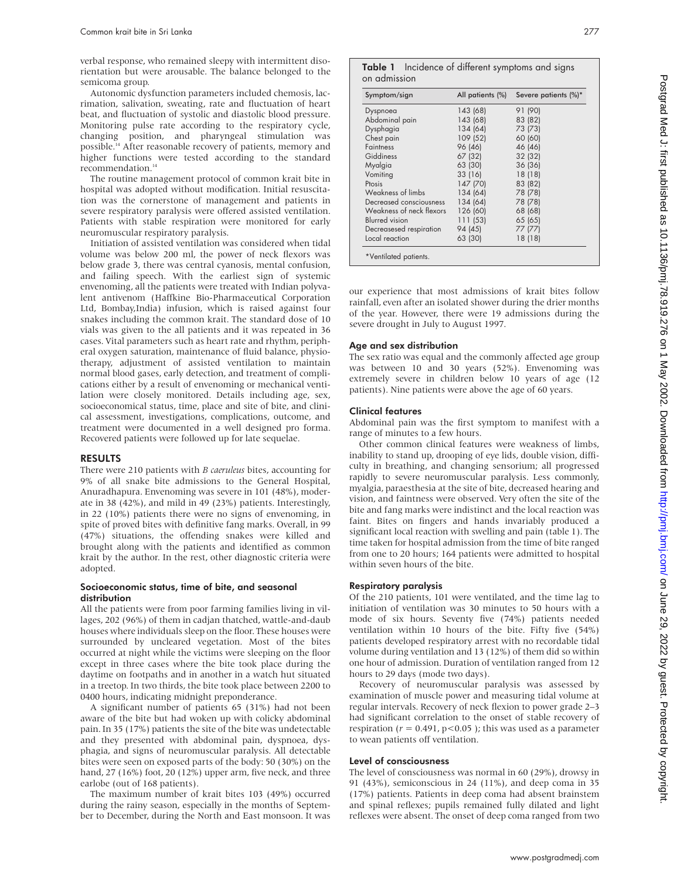verbal response, who remained sleepy with intermittent disorientation but were arousable. The balance belonged to the semicoma group.

Autonomic dysfunction parameters included chemosis, lacrimation, salivation, sweating, rate and fluctuation of heart beat, and fluctuation of systolic and diastolic blood pressure. Monitoring pulse rate according to the respiratory cycle, changing position, and pharyngeal stimulation was possible.<sup>14</sup> After reasonable recovery of patients, memory and higher functions were tested according to the standard  $\,$  recommendation.  $\,$   $\,$   $\,$ 

The routine management protocol of common krait bite in hospital was adopted without modification. Initial resuscitation was the cornerstone of management and patients in severe respiratory paralysis were offered assisted ventilation. Patients with stable respiration were monitored for early neuromuscular respiratory paralysis.

Initiation of assisted ventilation was considered when tidal volume was below 200 ml, the power of neck flexors was below grade 3, there was central cyanosis, mental confusion, and failing speech. With the earliest sign of systemic envenoming, all the patients were treated with Indian polyvalent antivenom (Haffkine Bio-Pharmaceutical Corporation Ltd, Bombay,India) infusion, which is raised against four snakes including the common krait. The standard dose of 10 vials was given to the all patients and it was repeated in 36 cases. Vital parameters such as heart rate and rhythm, peripheral oxygen saturation, maintenance of fluid balance, physiotherapy, adjustment of assisted ventilation to maintain normal blood gases, early detection, and treatment of complications either by a result of envenoming or mechanical ventilation were closely monitored. Details including age, sex, socioeconomical status, time, place and site of bite, and clinical assessment, investigations, complications, outcome, and treatment were documented in a well designed pro forma. Recovered patients were followed up for late sequelae.

#### RESULTS

There were 210 patients with *B caeruleus* bites, accounting for 9% of all snake bite admissions to the General Hospital, Anuradhapura. Envenoming was severe in 101 (48%), moderate in 38 (42%), and mild in 49 (23%) patients. Interestingly, in 22 (10%) patients there were no signs of envenoming, in spite of proved bites with definitive fang marks. Overall, in 99 (47%) situations, the offending snakes were killed and brought along with the patients and identified as common krait by the author. In the rest, other diagnostic criteria were adopted.

#### Socioeconomic status, time of bite, and seasonal distribution

All the patients were from poor farming families living in villages, 202 (96%) of them in cadjan thatched, wattle-and-daub houses where individuals sleep on the floor. These houses were surrounded by uncleared vegetation. Most of the bites occurred at night while the victims were sleeping on the floor except in three cases where the bite took place during the daytime on footpaths and in another in a watch hut situated in a treetop. In two thirds, the bite took place between 2200 to 0400 hours, indicating midnight preponderance.

A significant number of patients 65 (31%) had not been aware of the bite but had woken up with colicky abdominal pain. In 35 (17%) patients the site of the bite was undetectable and they presented with abdominal pain, dyspnoea, dysphagia, and signs of neuromuscular paralysis. All detectable bites were seen on exposed parts of the body: 50 (30%) on the hand, 27 (16%) foot, 20 (12%) upper arm, five neck, and three earlobe (out of 168 patients).

The maximum number of krait bites 103 (49%) occurred during the rainy season, especially in the months of September to December, during the North and East monsoon. It was

|              | Table 1 Incidence of different symptoms and signs |
|--------------|---------------------------------------------------|
| on admission |                                                   |

| Symptom/sign             | All patients (%) | Severe patients (%)* |
|--------------------------|------------------|----------------------|
| Dyspnoea                 | 143 (68)         | 91 (90)              |
| Abdominal pain           | 143 (68)         | 83 (82)              |
| Dysphagia                | 134 (64)         | 73 (73)              |
| Chest pain               | 109 (52)         | 60 (60)              |
| <b>Faintness</b>         | 96 (46)          | 46 (46)              |
| Giddiness                | 67 (32)          | 32 (32)              |
| Myalgia                  | 63 (30)          | 36 (36)              |
| Vomiting                 | 33 (16)          | 18 (18)              |
| Ptosis                   | 147 (70)         | 83 (82)              |
| Weakness of limbs        | 134 (64)         | 78 (78)              |
| Decreased consciousness  | 134 (64)         | 78 (78)              |
| Weakness of neck flexors | 126 (60)         | 68 (68)              |
| <b>Blurred</b> vision    | 111(53)          | 65 (65)              |
| Decreasesed respiration  | 94 (45)          | 77 (77)              |
| Local reaction           | 63 (30)          | 18 (18)              |

our experience that most admissions of krait bites follow rainfall, even after an isolated shower during the drier months of the year. However, there were 19 admissions during the severe drought in July to August 1997.

## Age and sex distribution

The sex ratio was equal and the commonly affected age group was between 10 and 30 years (52%). Envenoming was extremely severe in children below 10 years of age (12 patients). Nine patients were above the age of 60 years.

#### Clinical features

Abdominal pain was the first symptom to manifest with a range of minutes to a few hours.

Other common clinical features were weakness of limbs, inability to stand up, drooping of eye lids, double vision, difficulty in breathing, and changing sensorium; all progressed rapidly to severe neuromuscular paralysis. Less commonly, myalgia, paraesthesia at the site of bite, decreased hearing and vision, and faintness were observed. Very often the site of the bite and fang marks were indistinct and the local reaction was faint. Bites on fingers and hands invariably produced a significant local reaction with swelling and pain (table 1). The time taken for hospital admission from the time of bite ranged from one to 20 hours; 164 patients were admitted to hospital within seven hours of the bite.

#### Respiratory paralysis

Of the 210 patients, 101 were ventilated, and the time lag to initiation of ventilation was 30 minutes to 50 hours with a mode of six hours. Seventy five (74%) patients needed ventilation within 10 hours of the bite. Fifty five (54%) patients developed respiratory arrest with no recordable tidal volume during ventilation and 13 (12%) of them did so within one hour of admission. Duration of ventilation ranged from 12 hours to 29 days (mode two days).

Recovery of neuromuscular paralysis was assessed by examination of muscle power and measuring tidal volume at regular intervals. Recovery of neck flexion to power grade 2–3 had significant correlation to the onset of stable recovery of respiration ( $r = 0.491$ ,  $p < 0.05$ ); this was used as a parameter to wean patients off ventilation.

## Level of consciousness

The level of consciousness was normal in 60 (29%), drowsy in 91 (43%), semiconscious in 24 (11%), and deep coma in 35 (17%) patients. Patients in deep coma had absent brainstem and spinal reflexes; pupils remained fully dilated and light reflexes were absent. The onset of deep coma ranged from two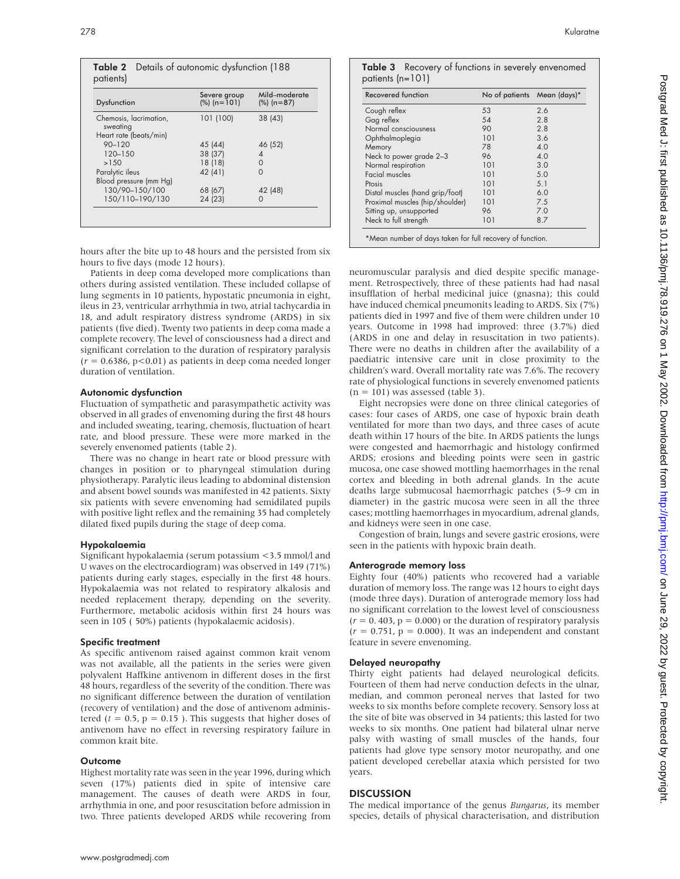|           | <b>Table 2</b> Details of autonomic dysfunction (188) |  |
|-----------|-------------------------------------------------------|--|
| patients) |                                                       |  |

| Dysfunction                        | Severe group<br>$(\%)$ (n=101) | Mild-moderate<br>$(%) (n=87)$ |
|------------------------------------|--------------------------------|-------------------------------|
| Chemosis, lacrimation,<br>sweating | 101 (100)                      | 38 (43)                       |
| Heart rate (beats/min)             |                                |                               |
| $90 - 120$                         | 45 (44)                        | 46 (52)                       |
| $120 - 150$                        | 38 (37)                        | 4                             |
| >1.50                              | 18(18)                         | 0                             |
| Paralytic ileus                    | 42 (41)                        | ∩                             |
| Blood pressure (mm Hg)             |                                |                               |
| 130/90-150/100                     | 68 (67)                        | 42 (48)                       |
| 150/110-190/130                    | 24 (23)                        | Ω                             |

hours after the bite up to 48 hours and the persisted from six hours to five days (mode 12 hours).

Patients in deep coma developed more complications than others during assisted ventilation. These included collapse of lung segments in 10 patients, hypostatic pneumonia in eight, ileus in 23, ventricular arrhythmia in two, atrial tachycardia in 18, and adult respiratory distress syndrome (ARDS) in six patients (five died). Twenty two patients in deep coma made a complete recovery. The level of consciousness had a direct and significant correlation to the duration of respiratory paralysis  $(r = 0.6386, p < 0.01)$  as patients in deep coma needed longer duration of ventilation.

# Autonomic dysfunction

Fluctuation of sympathetic and parasympathetic activity was observed in all grades of envenoming during the first 48 hours and included sweating, tearing, chemosis, fluctuation of heart rate, and blood pressure. These were more marked in the severely envenomed patients (table 2).

There was no change in heart rate or blood pressure with changes in position or to pharyngeal stimulation during physiotherapy. Paralytic ileus leading to abdominal distension and absent bowel sounds was manifested in 42 patients. Sixty six patients with severe envenoming had semidilated pupils with positive light reflex and the remaining 35 had completely dilated fixed pupils during the stage of deep coma.

## Hypokalaemia

Significant hypokalaemia (serum potassium <3.5 mmol/l and U waves on the electrocardiogram) was observed in 149 (71%) patients during early stages, especially in the first 48 hours. Hypokalaemia was not related to respiratory alkalosis and needed replacement therapy, depending on the severity. Furthermore, metabolic acidosis within first 24 hours was seen in 105 ( 50%) patients (hypokalaemic acidosis).

## Specific treatment

As specific antivenom raised against common krait venom was not available, all the patients in the series were given polyvalent Haffkine antivenom in different doses in the first 48 hours, regardless of the severity of the condition. There was no significant difference between the duration of ventilation (recovery of ventilation) and the dose of antivenom administered  $(t = 0.5, p = 0.15)$ . This suggests that higher doses of antivenom have no effect in reversing respiratory failure in common krait bite.

## **Outcome**

Highest mortality rate was seen in the year 1996, during which seven (17%) patients died in spite of intensive care management. The causes of death were ARDS in four, arrhythmia in one, and poor resuscitation before admission in two. Three patients developed ARDS while recovering from

| patients $(n=101)$ | Table 3 Recovery of functions in severely envenomed |
|--------------------|-----------------------------------------------------|
|                    |                                                     |

| Recovered function              | No of patients Mean (days)* |     |
|---------------------------------|-----------------------------|-----|
| Cough reflex                    | 53                          | 2.6 |
| Gag reflex                      | 54                          | 2.8 |
| Normal consciousness            | 90                          | 2.8 |
| Ophthalmoplegia                 | 101                         | 3.6 |
| Memory                          | 78                          | 4.0 |
| Neck to power grade 2-3         | 96                          | 4.0 |
| Normal respiration              | 101                         | 3.0 |
| Facial muscles                  | 101                         | 5.0 |
| Ptosis                          | 101                         | 5.1 |
| Distal muscles (hand grip/foot) | 101                         | 6.0 |
| Proximal muscles (hip/shoulder) | 101                         | 7.5 |
| Sitting up, unsupported         | 96                          | 7.0 |
| Neck to full strength           | 101                         | 8.7 |

neuromuscular paralysis and died despite specific management. Retrospectively, three of these patients had had nasal insufflation of herbal medicinal juice (gnasna); this could have induced chemical pneumonits leading to ARDS. Six (7%) patients died in 1997 and five of them were children under 10 years. Outcome in 1998 had improved: three (3.7%) died (ARDS in one and delay in resuscitation in two patients). There were no deaths in children after the availability of a paediatric intensive care unit in close proximity to the children's ward. Overall mortality rate was 7.6%. The recovery rate of physiological functions in severely envenomed patients  $(n = 101)$  was assessed (table 3).

Eight necropsies were done on three clinical categories of cases: four cases of ARDS, one case of hypoxic brain death ventilated for more than two days, and three cases of acute death within 17 hours of the bite. In ARDS patients the lungs were congested and haemorrhagic and histology confirmed ARDS; erosions and bleeding points were seen in gastric mucosa, one case showed mottling haemorrhages in the renal cortex and bleeding in both adrenal glands. In the acute deaths large submucosal haemorrhagic patches (5–9 cm in diameter) in the gastric mucosa were seen in all the three cases; mottling haemorrhages in myocardium, adrenal glands, and kidneys were seen in one case.

Congestion of brain, lungs and severe gastric erosions, were seen in the patients with hypoxic brain death.

# Anterograde memory loss

Eighty four (40%) patients who recovered had a variable duration of memory loss. The range was 12 hours to eight days (mode three days). Duration of anterograde memory loss had no significant correlation to the lowest level of consciousness  $(r = 0.403, p = 0.000)$  or the duration of respiratory paralysis  $(r = 0.751, p = 0.000)$ . It was an independent and constant feature in severe envenoming.

# Delayed neuropathy

Thirty eight patients had delayed neurological deficits. Fourteen of them had nerve conduction defects in the ulnar, median, and common peroneal nerves that lasted for two weeks to six months before complete recovery. Sensory loss at the site of bite was observed in 34 patients; this lasted for two weeks to six months. One patient had bilateral ulnar nerve palsy with wasting of small muscles of the hands, four patients had glove type sensory motor neuropathy, and one patient developed cerebellar ataxia which persisted for two years.

# **DISCUSSION**

The medical importance of the genus *Bungarus*, its member species, details of physical characterisation, and distribution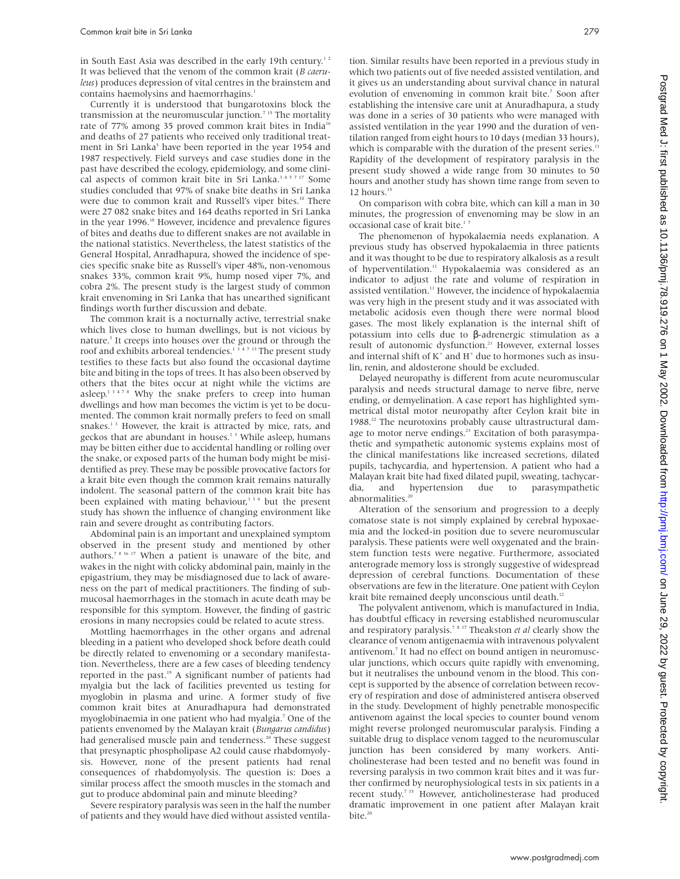in South East Asia was described in the early 19th century.<sup>12</sup> It was believed that the venom of the common krait (*B caeruleus*) produces depression of vital centres in the brainstem and contains haemolysins and haemorrhagins.<sup>1</sup>

Currently it is understood that bungarotoxins block the transmission at the neuromuscular junction.<sup>7</sup><sup>15</sup> The mortality rate of 77% among 35 proved common krait bites in India<sup>16</sup> and deaths of 27 patients who received only traditional treatment in Sri Lanka<sup>5</sup> have been reported in the year 1954 and 1987 respectively. Field surveys and case studies done in the past have described the ecology, epidemiology, and some clinical aspects of common krait bite in Sri Lanka.<sup>345717</sup> Some studies concluded that 97% of snake bite deaths in Sri Lanka were due to common krait and Russell's viper bites.<sup>10</sup> There were 27 082 snake bites and 164 deaths reported in Sri Lanka in the year 1996.<sup>18</sup> However, incidence and prevalence figures of bites and deaths due to different snakes are not available in the national statistics. Nevertheless, the latest statistics of the General Hospital, Anradhapura, showed the incidence of species specific snake bite as Russell's viper 48%, non-venomous snakes 33%, common krait 9%, hump nosed viper 7%, and cobra 2%. The present study is the largest study of common krait envenoming in Sri Lanka that has unearthed significant findings worth further discussion and debate.

The common krait is a nocturnally active, terrestrial snake which lives close to human dwellings, but is not vicious by nature.<sup>3</sup> It creeps into houses over the ground or through the roof and exhibits arboreal tendencies.<sup>1347</sup><sup>13</sup> The present study testifies to these facts but also found the occasional daytime bite and biting in the tops of trees. It has also been observed by others that the bites occur at night while the victims are asleep.13478 Why the snake prefers to creep into human dwellings and how man becomes the victim is yet to be documented. The common krait normally prefers to feed on small snakes.<sup>13</sup> However, the krait is attracted by mice, rats, and geckos that are abundant in houses. $13$  While asleep, humans may be bitten either due to accidental handling or rolling over the snake, or exposed parts of the human body might be misidentified as prey. These may be possible provocative factors for a krait bite even though the common krait remains naturally indolent. The seasonal pattern of the common krait bite has been explained with mating behaviour,<sup>134</sup> but the present study has shown the influence of changing environment like rain and severe drought as contributing factors.

Abdominal pain is an important and unexplained symptom observed in the present study and mentioned by other authors.7 8 16 17 When a patient is unaware of the bite, and wakes in the night with colicky abdominal pain, mainly in the epigastrium, they may be misdiagnosed due to lack of awareness on the part of medical practitioners. The finding of submucosal haemorrhages in the stomach in acute death may be responsible for this symptom. However, the finding of gastric erosions in many necropsies could be related to acute stress.

Mottling haemorrhages in the other organs and adrenal bleeding in a patient who developed shock before death could be directly related to envenoming or a secondary manifestation. Nevertheless, there are a few cases of bleeding tendency reported in the past.<sup>19</sup> A significant number of patients had myalgia but the lack of facilities prevented us testing for myoglobin in plasma and urine. A former study of five common krait bites at Anuradhapura had demonstrated myoglobinaemia in one patient who had myalgia.7 One of the patients envenomed by the Malayan krait (*Bungarus candidus*) had generalised muscle pain and tenderness.<sup>20</sup> These suggest that presynaptic phospholipase A2 could cause rhabdomyolysis. However, none of the present patients had renal consequences of rhabdomyolysis. The question is: Does a similar process affect the smooth muscles in the stomach and gut to produce abdominal pain and minute bleeding?

Severe respiratory paralysis was seen in the half the number of patients and they would have died without assisted ventilation. Similar results have been reported in a previous study in which two patients out of five needed assisted ventilation, and it gives us an understanding about survival chance in natural evolution of envenoming in common krait bite.<sup>7</sup> Soon after establishing the intensive care unit at Anuradhapura, a study was done in a series of 30 patients who were managed with assisted ventilation in the year 1990 and the duration of ventilation ranged from eight hours to 10 days (median 33 hours), which is comparable with the duration of the present series. $11$ Rapidity of the development of respiratory paralysis in the present study showed a wide range from 30 minutes to 50 hours and another study has shown time range from seven to 12 hours.<sup>15</sup>

On comparison with cobra bite, which can kill a man in 30 minutes, the progression of envenoming may be slow in an occasional case of krait bite.<sup>17</sup>

The phenomenon of hypokalaemia needs explanation. A previous study has observed hypokalaemia in three patients and it was thought to be due to respiratory alkalosis as a result of hyperventilation.<sup>11</sup> Hypokalaemia was considered as an indicator to adjust the rate and volume of respiration in assisted ventilation.<sup>11</sup> However, the incidence of hypokalaemia was very high in the present study and it was associated with metabolic acidosis even though there were normal blood gases. The most likely explanation is the internal shift of potassium into cells due to β-adrenergic stimulation as a result of autonomic dysfunction.<sup>21</sup> However, external losses and internal shift of  $K^+$  and  $H^+$  due to hormones such as insulin, renin, and aldosterone should be excluded.

Delayed neuropathy is different from acute neuromuscular paralysis and needs structural damage to nerve fibre, nerve ending, or demyelination. A case report has highlighted symmetrical distal motor neuropathy after Ceylon krait bite in 1988.<sup>22</sup> The neurotoxins probably cause ultrastructural damage to motor nerve endings.<sup>23</sup> Excitation of both parasympathetic and sympathetic autonomic systems explains most of the clinical manifestations like increased secretions, dilated pupils, tachycardia, and hypertension. A patient who had a Malayan krait bite had fixed dilated pupil, sweating, tachycardia, and hypertension due to parasympathetic abnormalities. $2$ 

Alteration of the sensorium and progression to a deeply comatose state is not simply explained by cerebral hypoxaemia and the locked-in position due to severe neuromuscular paralysis. These patients were well oxygenated and the brainstem function tests were negative. Furthermore, associated anterograde memory loss is strongly suggestive of widespread depression of cerebral functions. Documentation of these observations are few in the literature. One patient with Ceylon krait bite remained deeply unconscious until death.<sup>12</sup>

The polyvalent antivenom, which is manufactured in India, has doubtful efficacy in reversing established neuromuscular and respiratory paralysis.7 8 17 Theakston *et al* clearly show the clearance of venom antigenaemia with intravenous polyvalent antivenom.<sup>7</sup> It had no effect on bound antigen in neuromuscular junctions, which occurs quite rapidly with envenoming, but it neutralises the unbound venom in the blood. This concept is supported by the absence of correlation between recovery of respiration and dose of administered antisera observed in the study. Development of highly penetrable monospecific antivenom against the local species to counter bound venom might reverse prolonged neuromuscular paralysis. Finding a suitable drug to displace venom tagged to the neuromuscular junction has been considered by many workers. Anticholinesterase had been tested and no benefit was found in reversing paralysis in two common krait bites and it was further confirmed by neurophysiological tests in six patients in a recent study.7 15 However, anticholinesterase had produced dramatic improvement in one patient after Malayan krait bite.<sup>20</sup>